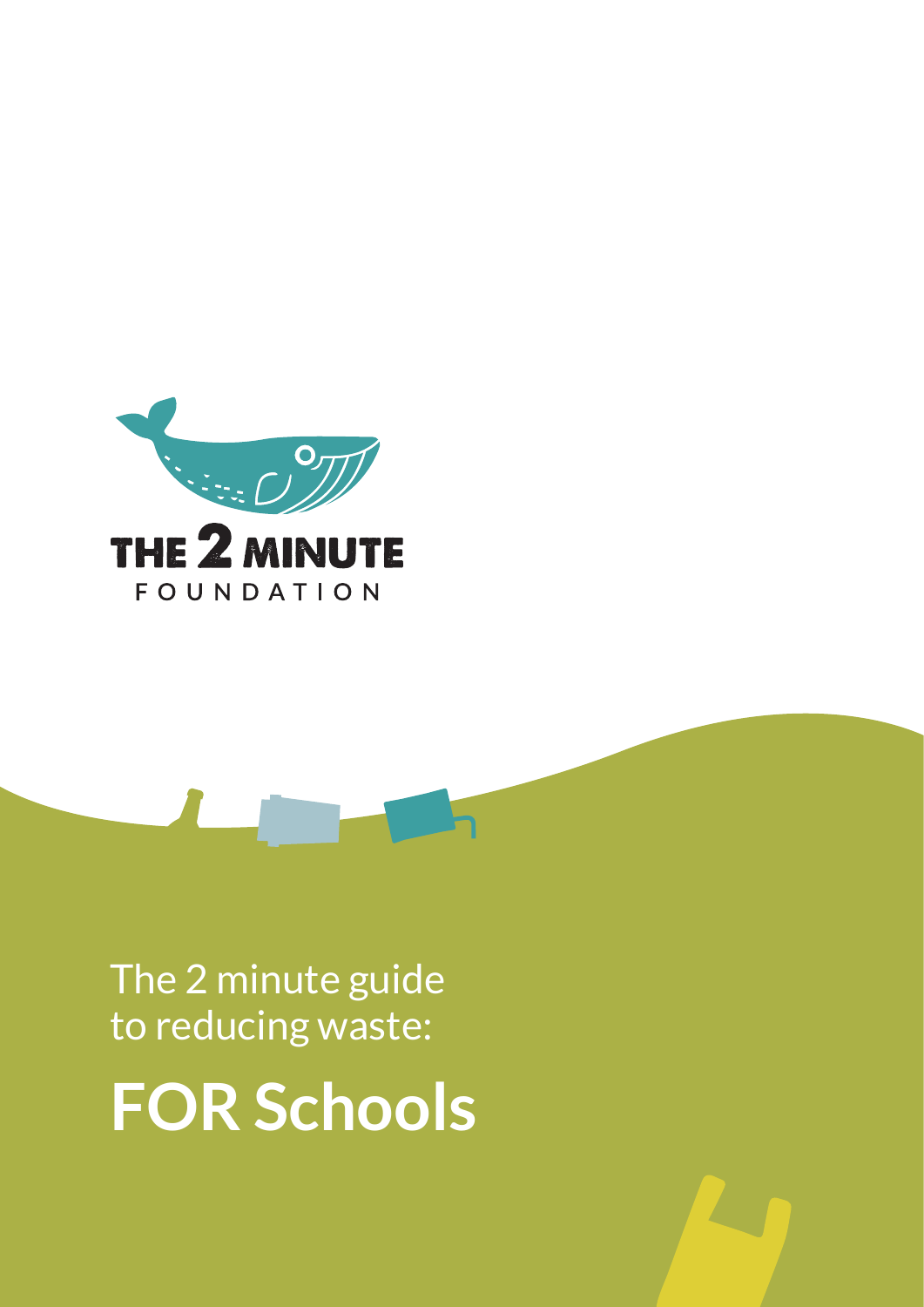

The 2 minute guide to reducing waste:

**FOR Schools**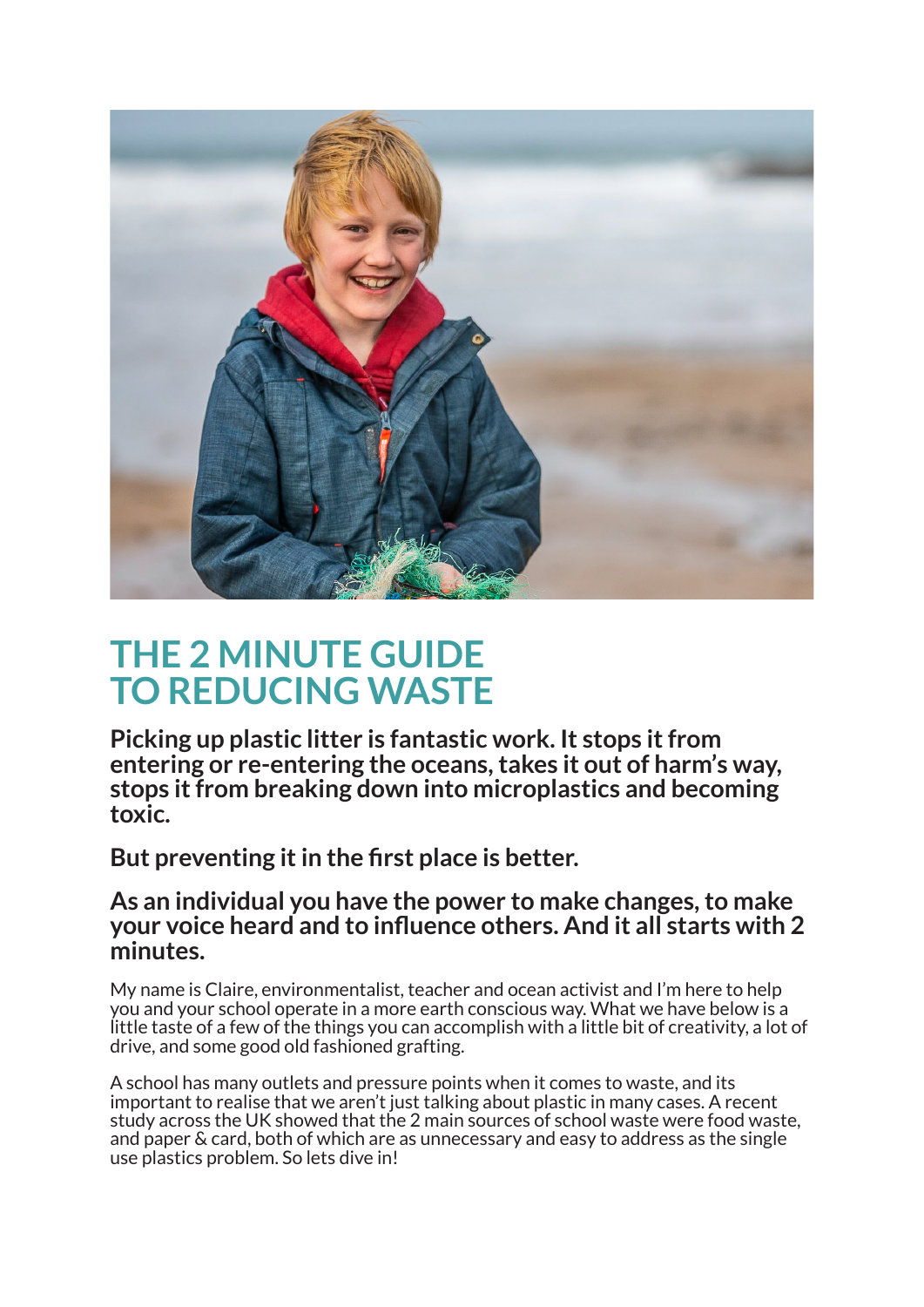

# **THE 2 MINUTE GUIDE TO REDUCING WASTE**

**Picking up plastic litter is fantastic work. It stops it from entering or re-entering the oceans, takes it out of harm's way, stops it from breaking down into microplastics and becoming toxic.**

**But preventing it in the first place is better.**

# **As an individual you have the power to make changes, to make your voice heard and to influence others. And it all starts with 2 minutes.**

My name is Claire, environmentalist, teacher and ocean activist and I'm here to help you and your school operate in a more earth conscious way. What we have below is a little taste of a few of the things you can accomplish with a little bit of creativity, a lot of drive, and some good old fashioned grafting.

A school has many outlets and pressure points when it comes to waste, and its important to realise that we aren't just talking about plastic in many cases. A recent study across the UK showed that the 2 main sources of school waste were food waste, and paper & card, both of which are as unnecessary and easy to address as the single use plastics problem. So lets dive in!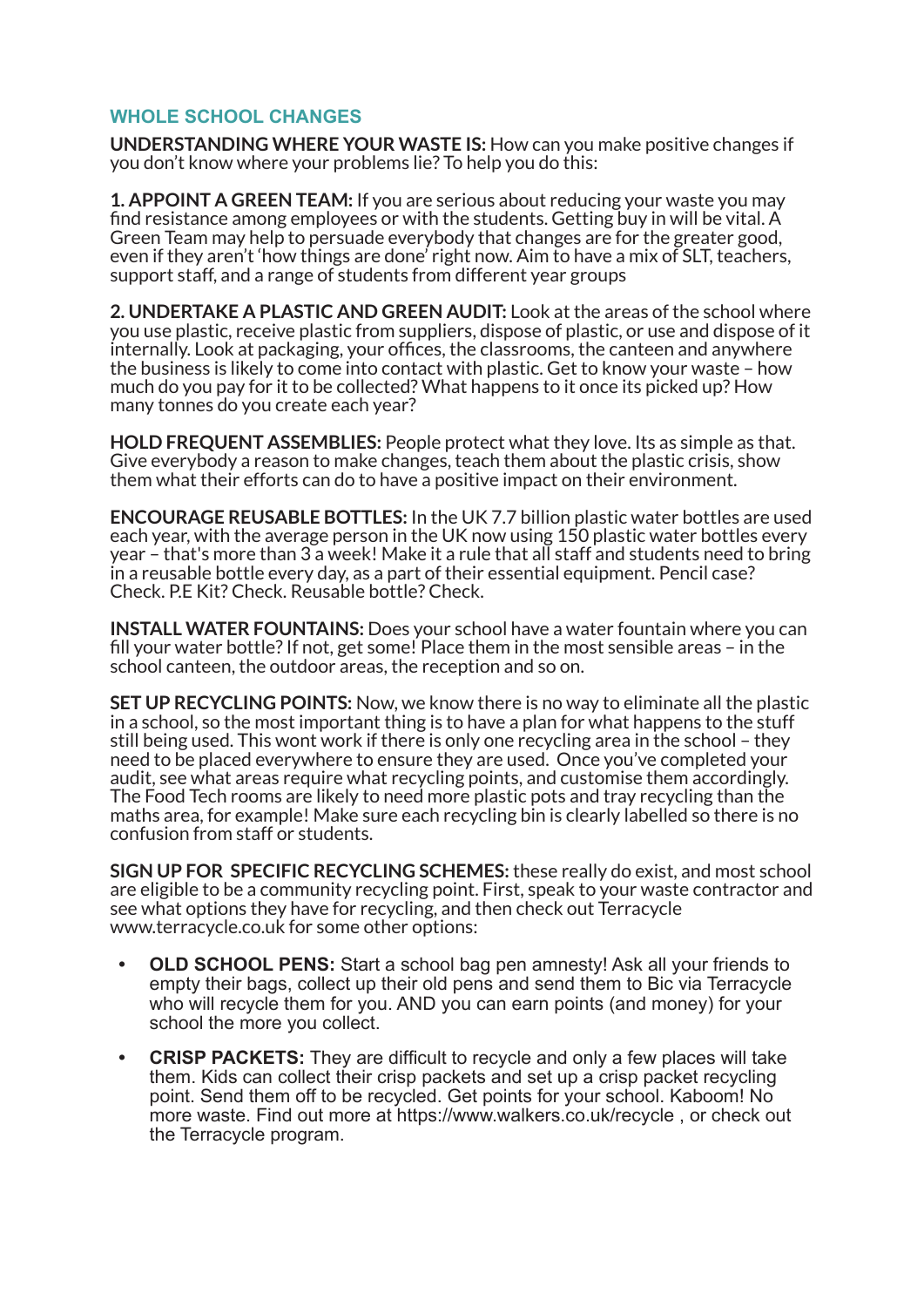# **WHOLE SCHOOL CHANGES**

**UNDERSTANDING WHERE YOUR WASTE IS:** How can you make positive changes if you don't know where your problems lie? To help you do this:

**1. APPOINT A GREEN TEAM:** If you are serious about reducing your waste you may find resistance among employees or with the students. Getting buy in will be vital. A Green Team may help to persuade everybody that changes are for the greater good, even if they aren't 'how things are done' right now. Aim to have a mix of SLT, teachers, support staff, and a range of students from different year groups

**2. UNDERTAKE A PLASTIC AND GREEN AUDIT:** Look at the areas of the school where you use plastic, receive plastic from suppliers, dispose of plastic, or use and dispose of it internally. Look at packaging, your offices, the classrooms, the canteen and anywhere the business is likely to come into contact with plastic. Get to know your waste – how much do you pay for it to be collected? What happens to it once its picked up? How many tonnes do you create each year?

**HOLD FREQUENT ASSEMBLIES:** People protect what they love. Its as simple as that. Give everybody a reason to make changes, teach them about the plastic crisis, show them what their efforts can do to have a positive impact on their environment.

**ENCOURAGE REUSABLE BOTTLES:** In the UK 7.7 billion plastic water bottles are used each year, with the average person in the UK now using 150 plastic water bottles every year – that's more than 3 a week! Make it a rule that all staff and students need to bring in a reusable bottle every day, as a part of their essential equipment. Pencil case? Check. P.E Kit? Check. Reusable bottle? Check.

**INSTALL WATER FOUNTAINS:** Does your school have a water fountain where you can fill your water bottle? If not, get some! Place them in the most sensible areas – in the school canteen, the outdoor areas, the reception and so on.

**SET UP RECYCLING POINTS:** Now, we know there is no way to eliminate all the plastic in a school, so the most important thing is to have a plan for what happens to the stuff still being used. This wont work if there is only one recycling area in the school – they need to be placed everywhere to ensure they are used. Once you've completed your audit, see what areas require what recycling points, and customise them accordingly. The Food Tech rooms are likely to need more plastic pots and tray recycling than the maths area, for example! Make sure each recycling bin is clearly labelled so there is no confusion from staff or students.

**SIGN UP FOR SPECIFIC RECYCLING SCHEMES:** these really do exist, and most school are eligible to be a community recycling point. First, speak to your waste contractor and see what options they have for recycling, and then check out Terracycle www.terracycle.co.uk for some other options:

- **OLD SCHOOL PENS:** Start a school bag pen amnesty! Ask all your friends to empty their bags, collect up their old pens and send them to Bic via Terracycle who will recycle them for you. AND you can earn points (and money) for your school the more you collect.
- **CRISP PACKETS:** They are difficult to recycle and only a few places will take them. Kids can collect their crisp packets and set up a crisp packet recycling point. Send them off to be recycled. Get points for your school. Kaboom! No more waste. Find out more at https://www.walkers.co.uk/recycle , or check out the Terracycle program.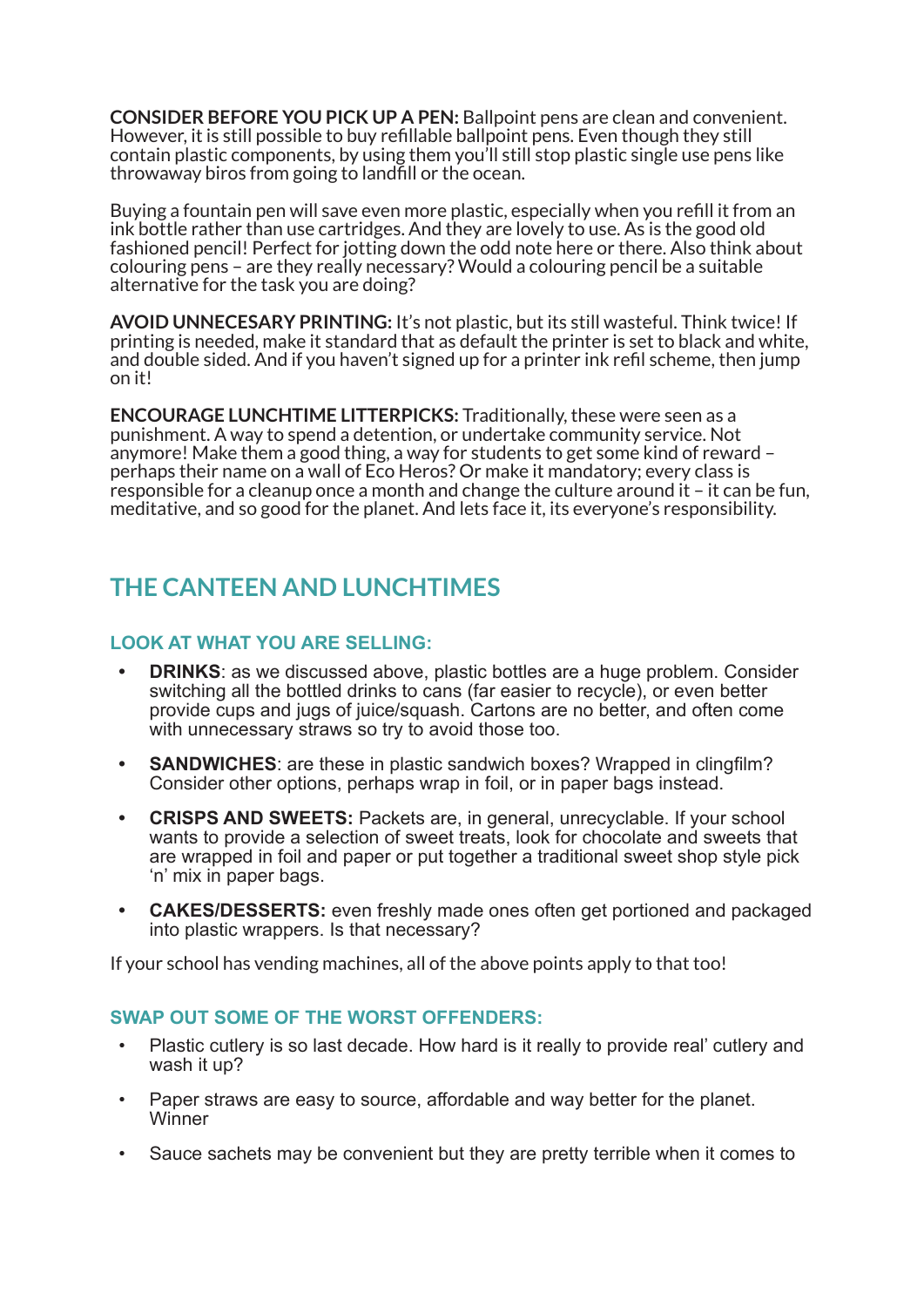**CONSIDER BEFORE YOU PICK UP A PEN:** Ballpoint pens are clean and convenient. However, it is still possible to buy refillable ballpoint pens. Even though they still contain plastic components, by using them you'll still stop plastic single use pens like throwaway biros from going to landfill or the ocean.

Buying a fountain pen will save even more plastic, especially when you refill it from an ink bottle rather than use cartridges. And they are lovely to use. As is the good old fashioned pencil! Perfect for jotting down the odd note here or there. Also think about colouring pens – are they really necessary? Would a colouring pencil be a suitable alternative for the task you are doing?

**AVOID UNNECESARY PRINTING:** It's not plastic, but its still wasteful. Think twice! If printing is needed, make it standard that as default the printer is set to black and white, and double sided. And if you haven't signed up for a printer ink refil scheme, then jump on it!

**ENCOURAGE LUNCHTIME LITTERPICKS:** Traditionally, these were seen as a punishment. A way to spend a detention, or undertake community service. Not anymore! Make them a good thing, a way for students to get some kind of reward – perhaps their name on a wall of Eco Heros? Or make it mandatory; every class is responsible for a cleanup once a month and change the culture around it – it can be fun, meditative, and so good for the planet. And lets face it, its everyone's responsibility.

# **THE CANTEEN AND LUNCHTIMES**

# **LOOK AT WHAT YOU ARE SELLING:**

- **DRINKS:** as we discussed above, plastic bottles are a huge problem. Consider switching all the bottled drinks to cans (far easier to recycle), or even better provide cups and jugs of juice/squash. Cartons are no better, and often come with unnecessary straws so try to avoid those too.
- **SANDWICHES**: are these in plastic sandwich boxes? Wrapped in clingfilm? Consider other options, perhaps wrap in foil, or in paper bags instead.
- **CRISPS AND SWEETS:** Packets are, in general, unrecyclable. If your school wants to provide a selection of sweet treats, look for chocolate and sweets that are wrapped in foil and paper or put together a traditional sweet shop style pick 'n' mix in paper bags.
- **CAKES/DESSERTS:** even freshly made ones often get portioned and packaged into plastic wrappers. Is that necessary?

If your school has vending machines, all of the above points apply to that too!

#### **SWAP OUT SOME OF THE WORST OFFENDERS:**

- Plastic cutlery is so last decade. How hard is it really to provide real' cutlery and wash it up?
- Paper straws are easy to source, affordable and way better for the planet. **Winner**
- Sauce sachets may be convenient but they are pretty terrible when it comes to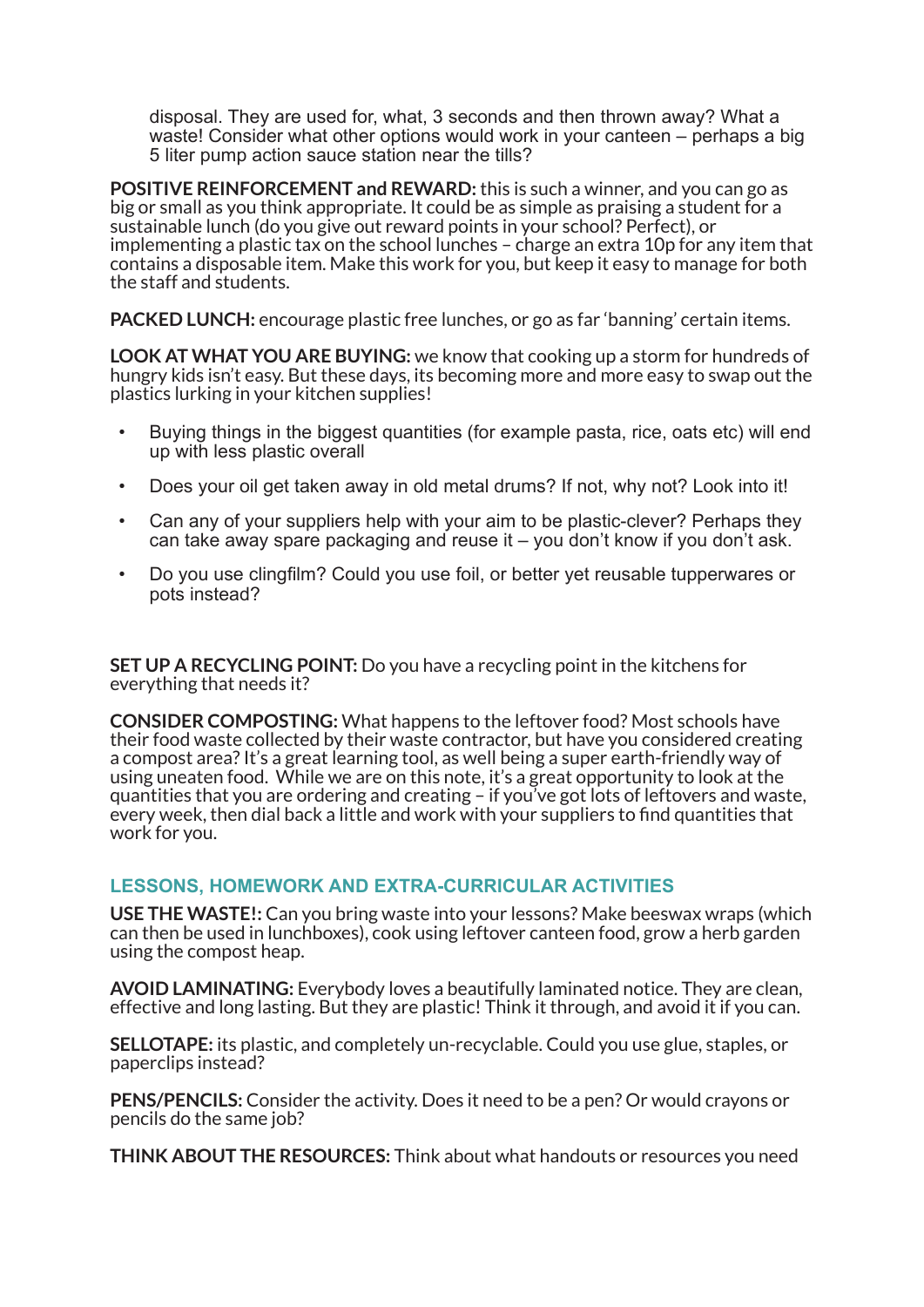disposal. They are used for, what, 3 seconds and then thrown away? What a waste! Consider what other options would work in your canteen – perhaps a big 5 liter pump action sauce station near the tills?

**POSITIVE REINFORCEMENT and REWARD:** this is such a winner, and you can go as big or small as you think appropriate. It could be as simple as praising a student for a sustainable lunch (do you give out reward points in your school? Perfect), or implementing a plastic tax on the school lunches – charge an extra 10p for any item that contains a disposable item. Make this work for you, but keep it easy to manage for both the staff and students.

**PACKED LUNCH:** encourage plastic free lunches, or go as far 'banning' certain items.

**LOOK AT WHAT YOU ARE BUYING:** we know that cooking up a storm for hundreds of hungry kids isn't easy. But these days, its becoming more and more easy to swap out the plastics lurking in your kitchen supplies!

- Buying things in the biggest quantities (for example pasta, rice, oats etc) will end up with less plastic overall
- Does your oil get taken away in old metal drums? If not, why not? Look into it!
- Can any of your suppliers help with your aim to be plastic-clever? Perhaps they can take away spare packaging and reuse it – you don't know if you don't ask.
- Do you use clingfilm? Could you use foil, or better yet reusable tupperwares or pots instead?

**SET UP A RECYCLING POINT:** Do you have a recycling point in the kitchens for everything that needs it?

**CONSIDER COMPOSTING:** What happens to the leftover food? Most schools have their food waste collected by their waste contractor, but have you considered creating a compost area? It's a great learning tool, as well being a super earth-friendly way of using uneaten food. While we are on this note, it's a great opportunity to look at the quantities that you are ordering and creating – if you've got lots of leftovers and waste, every week, then dial back a little and work with your suppliers to find quantities that work for you.

#### **LESSONS, HOMEWORK AND EXTRA-CURRICULAR ACTIVITIES**

**USE THE WASTE!:** Can you bring waste into your lessons? Make beeswax wraps (which can then be used in lunchboxes), cook using leftover canteen food, grow a herb garden using the compost heap.

**AVOID LAMINATING:** Everybody loves a beautifully laminated notice. They are clean, effective and long lasting. But they are plastic! Think it through, and avoid it if you can.

**SELLOTAPE:** its plastic, and completely un-recyclable. Could you use glue, staples, or paperclips instead?

**PENS/PENCILS:** Consider the activity. Does it need to be a pen? Or would crayons or pencils do the same job?

**THINK ABOUT THE RESOURCES:** Think about what handouts or resources you need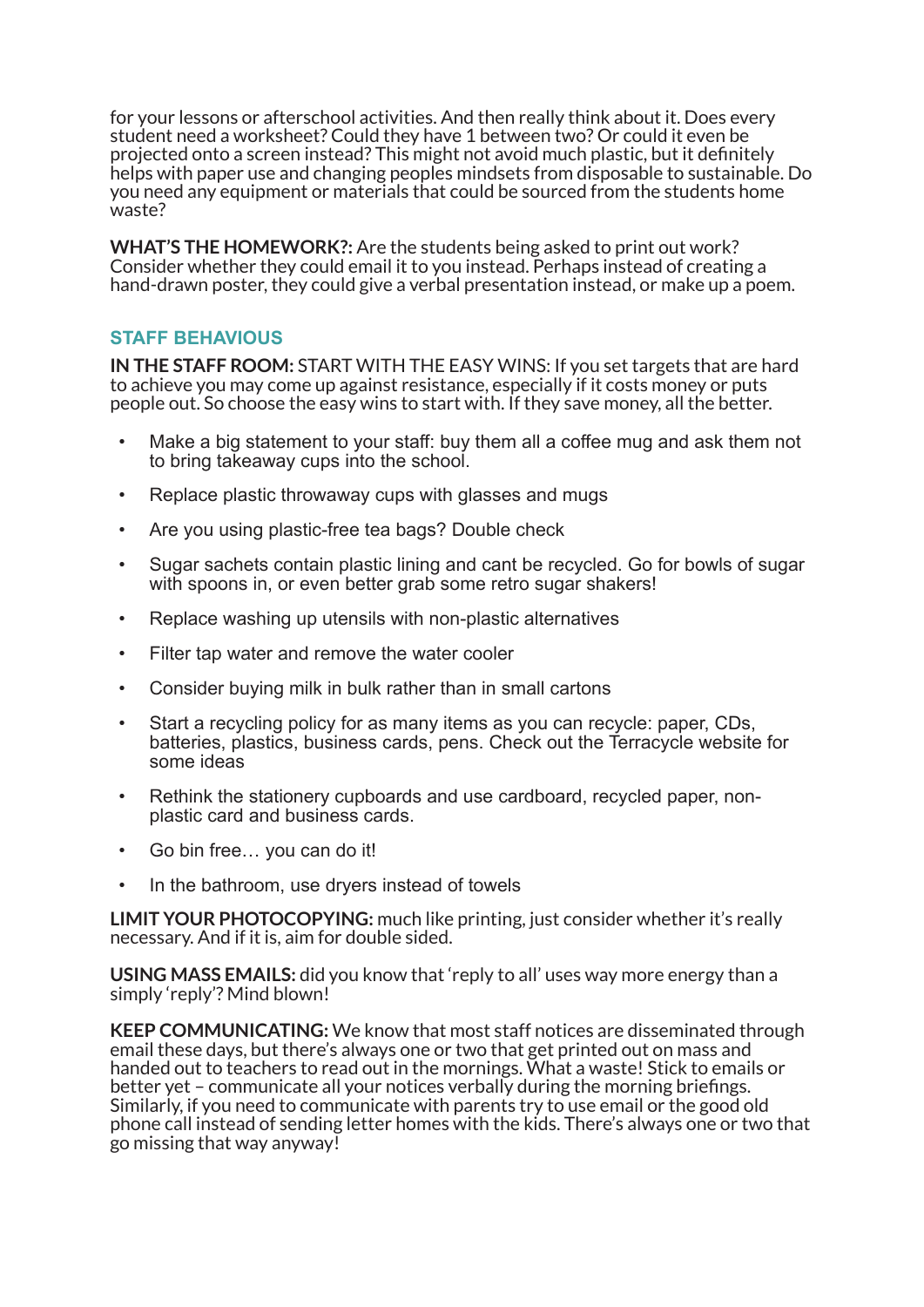for your lessons or afterschool activities. And then really think about it. Does every student need a worksheet? Could they have 1 between two? Or could it even be projected onto a screen instead? This might not avoid much plastic, but it definitely helps with paper use and changing peoples mindsets from disposable to sustainable. Do you need any equipment or materials that could be sourced from the students home waste?

**WHAT'S THE HOMEWORK?:** Are the students being asked to print out work? Consider whether they could email it to you instead. Perhaps instead of creating a hand-drawn poster, they could give a verbal presentation instead, or make up a poem.

# **STAFF BEHAVIOUS**

**IN THE STAFF ROOM:** START WITH THE EASY WINS: If you set targets that are hard to achieve you may come up against resistance, especially if it costs money or puts people out. So choose the easy wins to start with. If they save money, all the better.

- Make a big statement to your staff: buy them all a coffee mug and ask them not to bring takeaway cups into the school.
- Replace plastic throwaway cups with glasses and mugs
- Are you using plastic-free tea bags? Double check
- Sugar sachets contain plastic lining and cant be recycled. Go for bowls of sugar with spoons in, or even better grab some retro sugar shakers!
- Replace washing up utensils with non-plastic alternatives
- Filter tap water and remove the water cooler
- Consider buying milk in bulk rather than in small cartons
- Start a recycling policy for as many items as you can recycle: paper, CDs, batteries, plastics, business cards, pens. Check out the Terracycle website for some ideas
- Rethink the stationery cupboards and use cardboard, recycled paper, nonplastic card and business cards.
- Go bin free... you can do it!
- In the bathroom, use dryers instead of towels

**LIMIT YOUR PHOTOCOPYING:** much like printing, just consider whether it's really necessary. And if it is, aim for double sided.

**USING MASS EMAILS:** did you know that 'reply to all' uses way more energy than a simply 'reply'? Mind blown!

**KEEP COMMUNICATING:** We know that most staff notices are disseminated through email these days, but there's always one or two that get printed out on mass and handed out to teachers to read out in the mornings. What a waste! Stick to emails or better yet – communicate all your notices verbally during the morning briefings. Similarly, if you need to communicate with parents try to use email or the good old phone call instead of sending letter homes with the kids. There's always one or two that go missing that way anyway!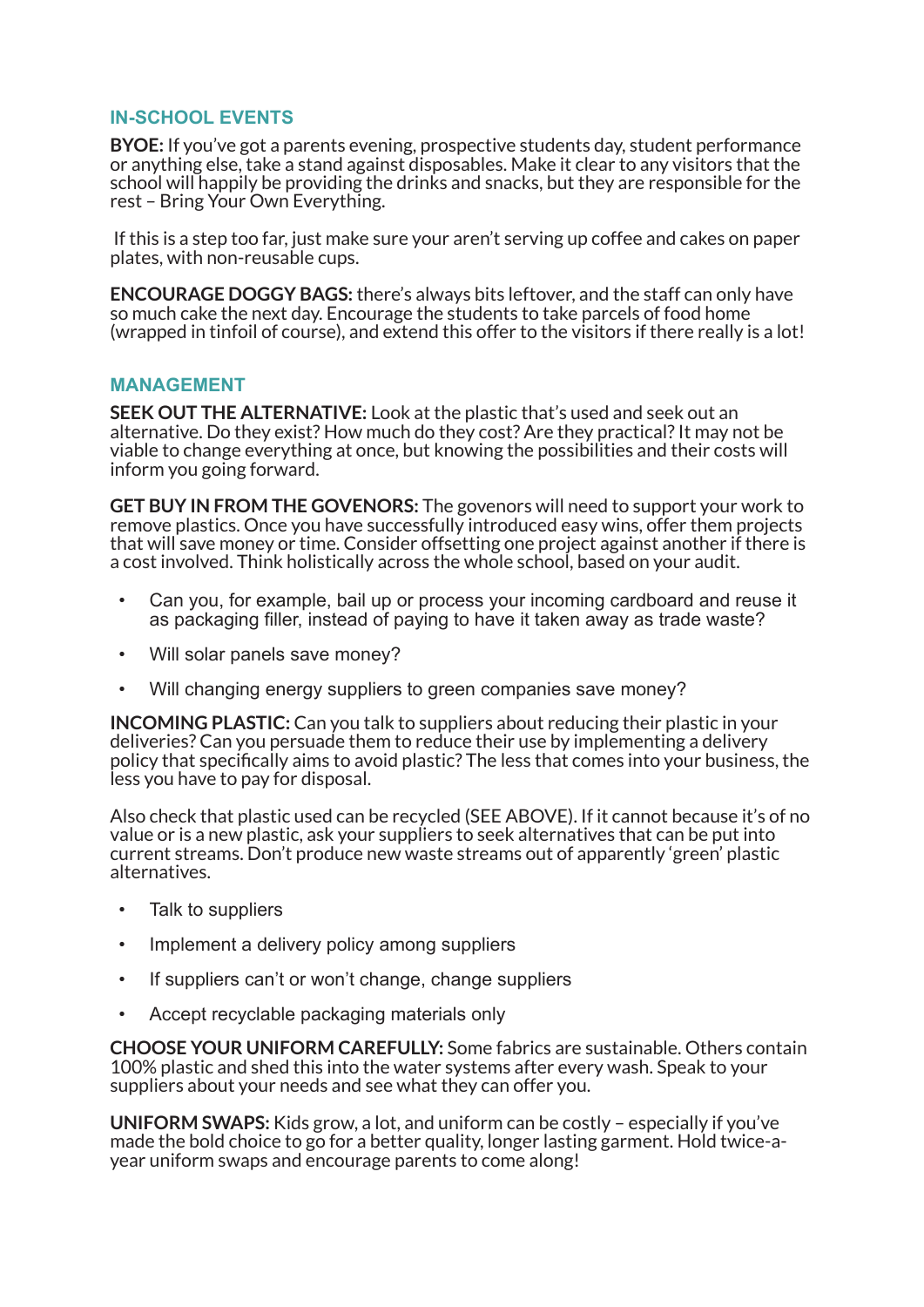# **IN-SCHOOL EVENTS**

**BYOE:** If you've got a parents evening, prospective students day, student performance or anything else, take a stand against disposables. Make it clear to any visitors that the school will happily be providing the drinks and snacks, but they are responsible for the rest – Bring Your Own Everything.

If this is a step too far, just make sure your aren't serving up coffee and cakes on paper plates, with non-reusable cups.

**ENCOURAGE DOGGY BAGS:** there's always bits leftover, and the staff can only have so much cake the next day. Encourage the students to take parcels of food home (wrapped in tinfoil of course), and extend this offer to the visitors if there really is a lot!

#### **MANAGEMENT**

**SEEK OUT THE ALTERNATIVE:** Look at the plastic that's used and seek out an alternative. Do they exist? How much do they cost? Are they practical? It may not be viable to change everything at once, but knowing the possibilities and their costs will inform you going forward.

**GET BUY IN FROM THE GOVENORS:** The govenors will need to support your work to remove plastics. Once you have successfully introduced easy wins, offer them projects that will save money or time. Consider offsetting one project against another if there is a cost involved. Think holistically across the whole school, based on your audit.

- Can you, for example, bail up or process your incoming cardboard and reuse it as packaging filler, instead of paying to have it taken away as trade waste?
- Will solar panels save money?
- Will changing energy suppliers to green companies save money?

**INCOMING PLASTIC:** Can you talk to suppliers about reducing their plastic in your deliveries? Can you persuade them to reduce their use by implementing a delivery policy that specifically aims to avoid plastic? The less that comes into your business, the less you have to pay for disposal.

Also check that plastic used can be recycled (SEE ABOVE). If it cannot because it's of no value or is a new plastic, ask your suppliers to seek alternatives that can be put into current streams. Don't produce new waste streams out of apparently 'green' plastic alternatives.

- Talk to suppliers
- Implement a delivery policy among suppliers
- If suppliers can't or won't change, change suppliers
- Accept recyclable packaging materials only

**CHOOSE YOUR UNIFORM CAREFULLY:** Some fabrics are sustainable. Others contain 100% plastic and shed this into the water systems after every wash. Speak to your suppliers about your needs and see what they can offer you.

**UNIFORM SWAPS:** Kids grow, a lot, and uniform can be costly – especially if you've made the bold choice to go for a better quality, longer lasting garment. Hold twice-ayear uniform swaps and encourage parents to come along!